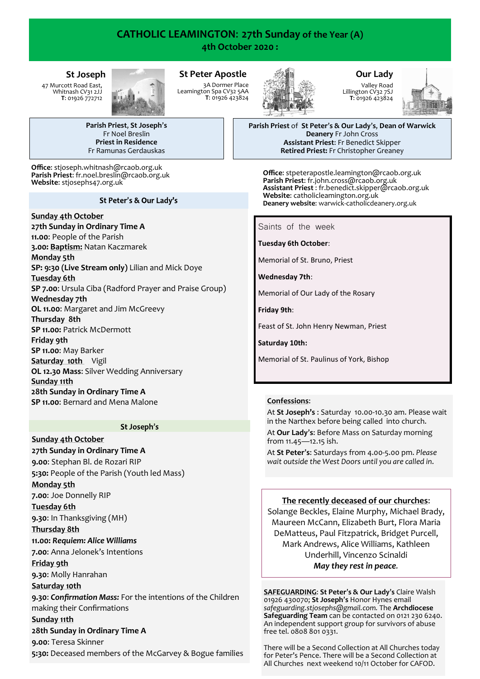# **CATHOLIC LEAMINGTON**: **27th Sunday of the Year (A) 4th October 2020 :**

**St Peter Apostle**

3A Dormer Place Leamington Spa CV32 5AA **T**: 01926 423824

# **St Joseph**

47 Murcott Road East, Whitnash CV31 2JJ **T**: 01926 772712



**Parish Priest**, **St Joseph**'**s** Fr Noel Breslin **Priest in Residence** Fr Ramunas Gerdauskas

**Office**: stjoseph.whitnash@rcaob.org.uk **Parish Priest**: fr.noel.breslin@rcaob.org.uk **Website**: stjosephs47.org.uk

### St Peter's & Our Lady's

# **Sunday 4th October**

**27th Sunday in Ordinary Time A**

**11.00**: People of the Parish **3.00: Baptism:** Natan Kaczmarek

# **Monday 5th**

**SP: 9:30 (Live Stream only)** Lilian and Mick Doye

# **Tuesday 6th**

**SP 7.00**: Ursula Ciba (Radford Prayer and Praise Group) **Wednesday 7th** 

**OL 11.00**: Margaret and Jim McGreevy

### **Thursday 8th**

**SP 11.00: Patrick McDermott** 

**Friday 9th**

**SP 11.00**: May Barker

**Saturday 10th** Vigil

**OL 12.30 Mass**: Silver Wedding Anniversary

### **Sunday 11th**

**28th Sunday in Ordinary Time A SP 11.00**: Bernard and Mena Malone

### St Joseph's

**Sunday 4th October 27th Sunday in Ordinary Time A 9.00**: Stephan Bl. de Rozari RIP **5:30:** People of the Parish (Youth led Mass) **Monday 5th 7.00**: Joe Donnelly RIP **Tuesday 6th 9.30**: In Thanksgiving (MH) **Thursday 8th 11.00:** *Requiem: Alice Williams* **7.00**: Anna Jelonek's Intentions **Friday 9th 9.30**: Molly Hanrahan **Saturday 10th 9.30**: *Confirmation Mass:* For the intentions of the Children making their Confirmations **Sunday 11th 28th Sunday in Ordinary Time A 9.00**: Teresa Skinner **5:30:** Deceased members of the McGarvey & Bogue families



# **Our Lady**

Valley Road Lillington CV32 7SJ **T**: 01926 423824



**Parish Priest** of **St Peter**'**s & Our Lady**'**s**, **Dean of Warwick Deanery** Fr John Cross **Assistant Priest**: Fr Benedict Skipper **Retired Priest:** Fr Christopher Greaney

**Office**: stpeterapostle.leamington@rcaob.org.uk **Parish Priest**: fr.john.cross@rcaob.org.uk **Assistant Priest** : fr.benedict.skipper@rcaob.org.uk Website: catholicleamington.org.uk **Deanery website**: warwick-[catholicdeanery.org.uk](https://eur01.safelinks.protection.outlook.com/?url=http%3A%2F%2Fwarwick-catholicdeanery.org.uk%2Fnewsletter-sign-up%2F&data=02%7C01%7C%7C721285f1bfe64a92393d08d7a351cd53%7C84df9e7fe9f640afb435aaaaaaaaaaaa%7C1%7C0%7C637157444038479073&sdata=wJyzCzyquvWm6KYBMn)

Saints of the week

**Tuesday 6th October**:

Memorial of St. Bruno, Priest

**Wednesday 7th**:

Memorial of Our Lady of the Rosary

**Friday 9th**:

Feast of St. John Henry Newman, Priest

**Saturday 10th:** 

Memorial of St. Paulinus of York, Bishop

# **Confessions**:

At **St Joseph's** : Saturday 10.00-10.30 am. Please wait in the Narthex before being called into church.

At **Our Lady**'**s**: Before Mass on Saturday morning from 11.45—12.15 ish.

At **St Peter**'**s**: Saturdays from 4.00-5.00 pm. *Please wait outside the West Doors until you are called in*.

# **The recently deceased of our churches**:

Solange Beckles, Elaine Murphy, Michael Brady, Maureen McCann, Elizabeth Burt, Flora Maria DeMatteus, Paul Fitzpatrick, Bridget Purcell, Mark Andrews, Alice Williams, Kathleen Underhill, Vincenzo Scinaldi *May they rest in peace.*

**SAFEGUARDING**: **St Peter**'**s & Our Lady**'**s** Claire Walsh 01926 430070; **St Joseph**'**s** Honor Hynes email *safeguarding.stjosephs@gmail.com.* The **Archdiocese Safeguarding Team** can be contacted on 0121 230 6240. An independent support group for survivors of abuse free tel. 0808 801 0331.

There will be a Second Collection at All Churches today for Peter's Pence. There will be a Second Collection at All Churches next weekend 10/11 October for CAFOD.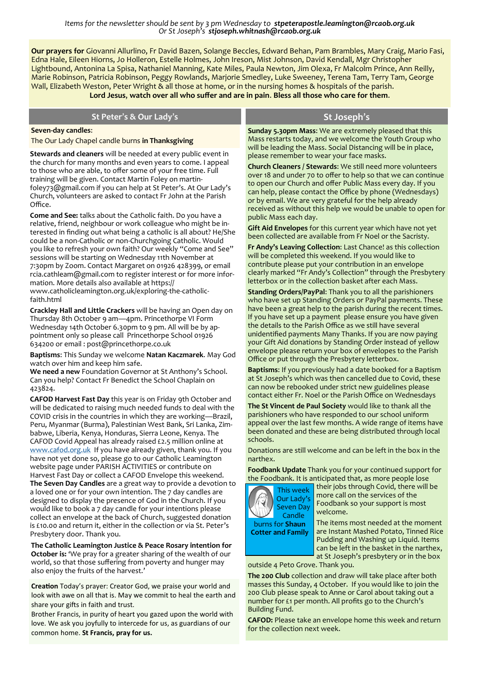*Items for the newsletter should be sent by 3 pm Wednesday to stpeterapostle.leamington@rcaob.org.uk Or St Joseph's stjoseph.whitnash@rcaob.org.uk* 

**Our prayers for** Giovanni Allurlino, Fr David Bazen, Solange Beccles, Edward Behan, Pam Brambles, Mary Craig, Mario Fasi, Edna Hale, Eileen Hiorns, Jo Holleron, Estelle Holmes, John Ireson, Mist Johnson, David Kendall, Mgr Christopher Lightbound, Antonina La Spisa, Nathaniel Manning, Kate Miles, Paula Newton, Jim Olexa, Fr Malcolm Prince, Ann Reilly, Marie Robinson, Patricia Robinson, Peggy Rowlands, Marjorie Smedley, Luke Sweeney, Terena Tam, Terry Tam, George Wall, Elizabeth Weston, Peter Wright & all those at home, or in the nursing homes & hospitals of the parish. **Lord Jesus**, **watch over all who suffer and are in pain**. **Bless all those who care for them**.

| St Peter's & Our Lady's                                                                                                                                                                                                                                        | St Joseph's                                                                                                                                                                                                                                                                                                                                                                                                                                                                                                                                                            |
|----------------------------------------------------------------------------------------------------------------------------------------------------------------------------------------------------------------------------------------------------------------|------------------------------------------------------------------------------------------------------------------------------------------------------------------------------------------------------------------------------------------------------------------------------------------------------------------------------------------------------------------------------------------------------------------------------------------------------------------------------------------------------------------------------------------------------------------------|
| Seven-day candles:<br>The Our Lady Chapel candle burns in Thanksgiving                                                                                                                                                                                         | <b>Sunday 5.30pm Mass:</b> We are extremely pleased that this<br>Mass restarts today, and we welcome the Youth Group who<br>will be leading the Mass. Social Distancing will be in place,<br>please remember to wear your face masks.<br><b>Church Cleaners / Stewards:</b> We still need more volunteers<br>over 18 and under 70 to offer to help so that we can continue<br>$\mathbf{r}$ and $\mathbf{r}$ are $\mathbf{r}$ and $\mathbf{r}$ are $\mathbf{r}$ and $\mathbf{r}$ in $\mathbf{r}$ is the set of $\mathbf{r}$ and $\mathbf{r}$ is the set of $\mathbf{r}$ |
| <b>Stewards and cleaners</b> will be needed at every public event in<br>the church for many months and even years to come. I appeal<br>to those who are able, to offer some of your free time. Full<br>training will be given. Contact Martin Foley on martin- |                                                                                                                                                                                                                                                                                                                                                                                                                                                                                                                                                                        |

training will be given. Contact Martin Foley on martinfoley73@gmail.com if you can help at St Peter's. At Our Lady's Church, volunteers are asked to contact Fr John at the Parish Office.

**Come and See:** talks about the Catholic faith. Do you have a relative, friend, neighbour or work colleague who might be interested in finding out what being a catholic is all about? He/She could be a non-Catholic or non-Churchgoing Catholic. Would you like to refresh your own faith? Our weekly "Come and See" sessions will be starting on Wednesday 11th November at 7:30pm by Zoom. Contact Margaret on 01926 428399, or email rcia.cathleam@gmail.com to register interest or for more information. More details also available at https:// www.catholicleamington.org.uk/exploring-the-catholicfaith.html

**Crackley Hall and Little Crackers** will be having an Open day on Thursday 8th October 9 am—4pm. Princethorpe VI Form Wednesday 14th October 6.30pm to 9 pm. All will be by appointment only so please call Princethorpe School 01926 634200 or email : post@princethorpe.co.uk

**Baptisms**: This Sunday we welcome **Natan Kaczmarek**. May God watch over him and keep him safe.

**We need a new** Foundation Governor at St Anthony's School. Can you help? Contact Fr Benedict the School Chaplain on 423824.

**CAFOD Harvest Fast Day** this year is on Friday 9th October and will be dedicated to raising much needed funds to deal with the COVID crisis in the countries in which they are working—Brazil, Peru, Myanmar (Burma), Palestinian West Bank, Sri Lanka, Zimbabwe, Liberia, Kenya, Honduras, Sierra Leone, Kenya. The CAFOD Covid Appeal has already raised £2.5 million online at [www.cafod.org.uk](http://www.cafod.org.uk/) If you have already given, thank you. If you have not yet done so, please go to our Catholic Leamington website page under PARISH ACTIVITIES or contribute on Harvest Fast Day or collect a CAFOD Envelope this weekend. **The Seven Day Candles** are a great way to provide a devotion to a loved one or for your own intention. The 7 day candles are designed to display the presence of God in the Church. If you would like to book a 7 day candle for your intentions please collect an envelope at the back of Church, suggested donation is £10.00 and return it, either in the collection or via St. Peter's Presbytery door. Thank you.

**The Catholic Leamington Justice & Peace Rosary intention for October is:** 'We pray for a greater sharing of the wealth of our world, so that those suffering from poverty and hunger may also enjoy the fruits of the harvest.'

**Creation** Today's prayer: Creator God, we praise your world and look with awe on all that is. May we commit to heal the earth and share your gifts in faith and trust.

Brother Francis, in purity of heart you gazed upon the world with love. We ask you joyfully to intercede for us, as guardians of our common home. **St Francis, pray for us.**

to open our Church and offer Public Mass every day. If you can help, please contact the Office by phone (Wednesdays) or by email. We are very grateful for the help already received as without this help we would be unable to open for public Mass each day.

**Gift Aid Envelopes** for this current year which have not yet been collected are available from Fr Noel or the Sacristy.

**Fr Andy's Leaving Collection**: Last Chance! as this collection will be completed this weekend. If you would like to contribute please put your contribution in an envelope clearly marked "Fr Andy's Collection" through the Presbytery letterbox or in the collection basket after each Mass.

**Standing Orders/PayPal**: Thank you to all the parishioners who have set up Standing Orders or PayPal payments. These have been a great help to the parish during the recent times. If you have set up a payment please ensure you have given the details to the Parish Office as we still have several unidentified payments Many Thanks. If you are now paying your Gift Aid donations by Standing Order instead of yellow envelope please return your box of envelopes to the Parish Office or put through the Presbytery letterbox.

**Baptisms**: If you previously had a date booked for a Baptism at St Joseph's which was then cancelled due to Covid, these can now be rebooked under strict new guidelines please contact either Fr. Noel or the Parish Office on Wednesdays

**The St Vincent de Paul Society** would like to thank all the parishioners who have responded to our school uniform appeal over the last few months. A wide range of items have been donated and these are being distributed through local schools.

Donations are still welcome and can be left in the box in the narthex.

**Foodbank Update** Thank you for your continued support for the Foodbank. It is anticipated that, as more people lose



their jobs through Covid, there will be more call on the services of the Foodbank so your support is most

welcome.

The items most needed at the moment are Instant Mashed Potato, Tinned Rice Pudding and Washing up Liquid. Items can be left in the basket in the narthex, at St Joseph's presbytery or in the box

outside 4 Peto Grove. Thank you.

**The 200 Club** collection and draw will take place after both masses this Sunday, 4 October. If you would like to join the 200 Club please speak to Anne or Carol about taking out a number for £1 per month. All profits go to the Church's Building Fund.

**CAFOD:** Please take an envelope home this week and return for the collection next week.